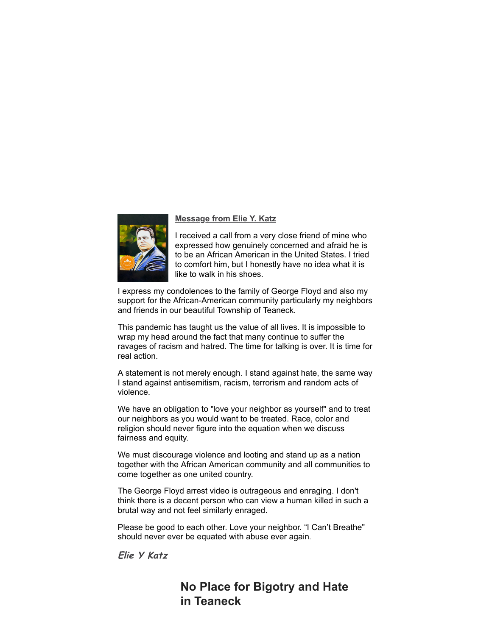

### **Message from Elie Y. Katz**

I received a call from a very close friend of mine who expressed how genuinely concerned and afraid he is to be an African American in the United States. I tried to comfort him, but I honestly have no idea what it is like to walk in his shoes.

I express my condolences to the family of George Floyd and also my support for the African-American community particularly my neighbors and friends in our beautiful Township of Teaneck.

This pandemic has taught us the value of all lives. It is impossible to wrap my head around the fact that many continue to suffer the ravages of racism and hatred. The time for talking is over. It is time for real action.

A statement is not merely enough. I stand against hate, the same way I stand against antisemitism, racism, terrorism and random acts of violence.

We have an obligation to "love your neighbor as yourself" and to treat our neighbors as you would want to be treated. Race, color and religion should never figure into the equation when we discuss fairness and equity.

We must discourage violence and looting and stand up as a nation together with the African American community and all communities to come together as one united country.

The George Floyd arrest video is outrageous and enraging. I don't think there is a decent person who can view a human killed in such a brutal way and not feel similarly enraged.

Please be good to each other. Love your neighbor. "I Can't Breathe" should never ever be equated with abuse ever again.

## **Elie Y Katz**

# **No Place for Bigotry and Hate in Teaneck**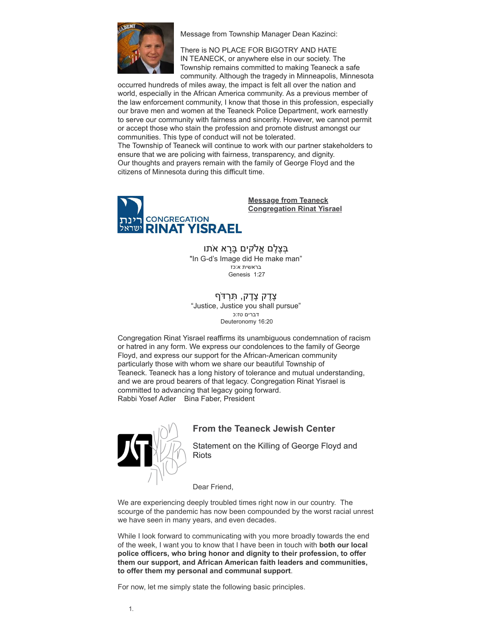

Message from Township Manager Dean Kazinci:

There is NO PLACE FOR BIGOTRY AND HATE IN TEANECK, or anywhere else in our society. The Township remains committed to making Teaneck a safe community. Although the tragedy in Minneapolis, Minnesota

occurred hundreds of miles away, the impact is felt all over the nation and world, especially in the African America community. As a previous member of the law enforcement community, I know that those in this profession, especially our brave men and women at the Teaneck Police Department, work earnestly to serve our community with fairness and sincerity. However, we cannot permit or accept those who stain the profession and promote distrust amongst our communities. This type of conduct will not be tolerated. The Township of Teaneck will continue to work with our partner stakeholders to ensure that we are policing with fairness, transparency, and dignity. Our thoughts and prayers remain with the family of George Floyd and the citizens of Minnesota during this difficult time.



**Message from Teaneck Congregation Rinat Yisrael**

בִּצֶלֶם אֱלֹקים בַּרַא אֹתו "In G-d's Image did He make man" בראשית א:כז Genesis 1:27

ְצֶדֶק צֶדֶק, תִּרְדֹּף "Justice, Justice you shall pursue" דברים טז:כ Deuteronomy 16:20

Congregation Rinat Yisrael reaffirms its unambiguous condemnation of racism or hatred in any form. We express our condolences to the family of George Floyd, and express our support for the African-American community particularly those with whom we share our beautiful Township of Teaneck. Teaneck has a long history of tolerance and mutual understanding, and we are proud bearers of that legacy. Congregation Rinat Yisrael is committed to advancing that legacy going forward. Rabbi Yosef Adler Bina Faber, President



### **From the Teaneck Jewish Center**

Statement on the Killing of George Floyd and **Riots** 

Dear Friend,

We are experiencing deeply troubled times right now in our country. The scourge of the pandemic has now been compounded by the worst racial unrest we have seen in many years, and even decades.

While I look forward to communicating with you more broadly towards the end of the week, I want you to know that I have been in touch with **both our local police officers, who bring honor and dignity to their profession, to offer them our support, and African American faith leaders and communities, to offer them my personal and communal support**.

For now, let me simply state the following basic principles.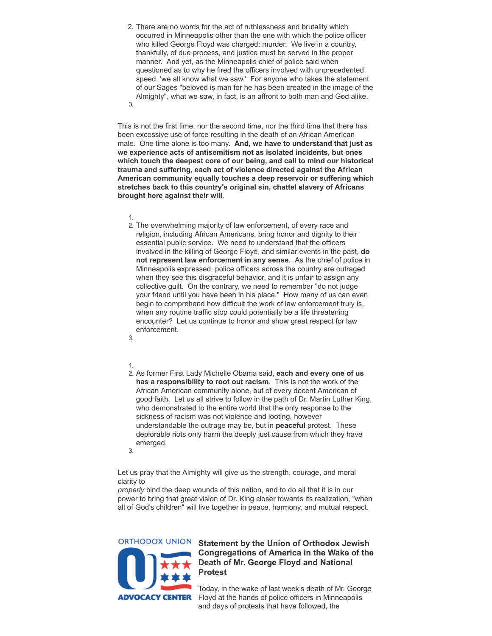2. There are no words for the act of ruthlessness and brutality which occurred in Minneapolis other than the one with which the police officer who killed George Floyd was charged: murder. We live in a country, thankfully, of due process, and justice must be served in the proper manner. And yet, as the Minneapolis chief of police said when questioned as to why he fired the officers involved with unprecedented speed, 'we all know what we saw.' For anyone who takes the statement of our Sages "beloved is man for he has been created in the image of the Almighty", what we saw, in fact, is an affront to both man and God alike. 3.

This is not the first time, nor the second time, nor the third time that there has been excessive use of force resulting in the death of an African American male. One time alone is too many. **And, we have to understand that just as we experience acts of antisemitism not as isolated incidents, but ones which touch the deepest core of our being, and call to mind our historical trauma and suffering, each act of violence directed against the African American community equally touches a deep reservoir or suffering which stretches back to this country's original sin, chattel slavery of Africans brought here against their will**.

1.

2. The overwhelming majority of law enforcement, of every race and religion, including African Americans, bring honor and dignity to their essential public service. We need to understand that the officers involved in the killing of George Floyd, and similar events in the past, **do not represent law enforcement in any sense**. As the chief of police in Minneapolis expressed, police officers across the country are outraged when they see this disgraceful behavior, and it is unfair to assign any collective guilt. On the contrary, we need to remember "do not judge your friend until you have been in his place." How many of us can even begin to comprehend how difficult the work of law enforcement truly is, when any routine traffic stop could potentially be a life threatening encounter? Let us continue to honor and show great respect for law enforcement. 3.

#### 1.

2. As former First Lady Michelle Obama said, **each and every one of us has a responsibility to root out racism**. This is not the work of the African American community alone, but of every decent American of good faith. Let us all strive to follow in the path of Dr. Martin Luther King, who demonstrated to the entire world that the only response to the sickness of racism was not violence and looting, however understandable the outrage may be, but in **peaceful** protest. These deplorable riots only harm the deeply just cause from which they have emerged.

3.

Let us pray that the Almighty will give us the strength, courage, and moral clarity to

*properly* bind the deep wounds of this nation, and to do all that it is in our power to bring that great vision of Dr. King closer towards its realization, "when all of God's children" will live together in peace, harmony, and mutual respect.

**ORTHODOX UNION** 



#### **Statement by the Union of Orthodox Jewish Congregations of America in the Wake of the Death of Mr. George Floyd and National Protest**

Today, in the wake of last week's death of Mr. George Floyd at the hands of police officers in Minneapolis and days of protests that have followed, the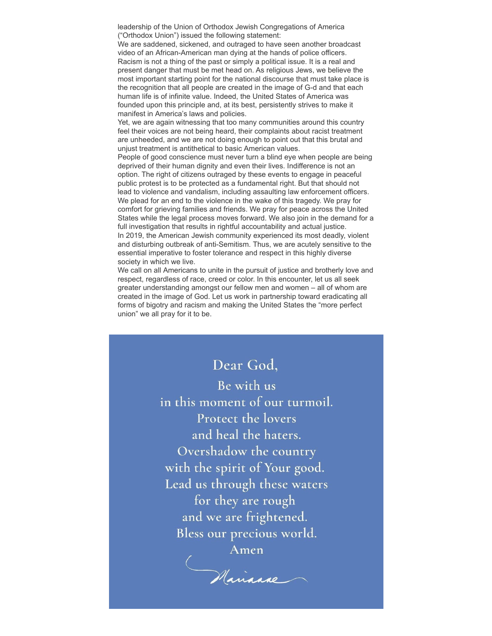leadership of the Union of Orthodox Jewish Congregations of America ("Orthodox Union") issued the following statement:

We are saddened, sickened, and outraged to have seen another broadcast video of an African-American man dying at the hands of police officers. Racism is not a thing of the past or simply a political issue. It is a real and present danger that must be met head on. As religious Jews, we believe the most important starting point for the national discourse that must take place is the recognition that all people are created in the image of G-d and that each human life is of infinite value. Indeed, the United States of America was founded upon this principle and, at its best, persistently strives to make it manifest in America's laws and policies.

Yet, we are again witnessing that too many communities around this country feel their voices are not being heard, their complaints about racist treatment are unheeded, and we are not doing enough to point out that this brutal and unjust treatment is antithetical to basic American values.

People of good conscience must never turn a blind eye when people are being deprived of their human dignity and even their lives. Indifference is not an option. The right of citizens outraged by these events to engage in peaceful public protest is to be protected as a fundamental right. But that should not lead to violence and vandalism, including assaulting law enforcement officers. We plead for an end to the violence in the wake of this tragedy. We pray for comfort for grieving families and friends. We pray for peace across the United States while the legal process moves forward. We also join in the demand for a full investigation that results in rightful accountability and actual justice. In 2019, the American Jewish community experienced its most deadly, violent and disturbing outbreak of anti-Semitism. Thus, we are acutely sensitive to the essential imperative to foster tolerance and respect in this highly diverse society in which we live.

We call on all Americans to unite in the pursuit of justice and brotherly love and respect, regardless of race, creed or color. In this encounter, let us all seek greater understanding amongst our fellow men and women – all of whom are created in the image of God. Let us work in partnership toward eradicating all forms of bigotry and racism and making the United States the "more perfect union" we all pray for it to be.

# Dear God.

Be with us in this moment of our turmoil. Protect the lovers and heal the haters. Overshadow the country with the spirit of Your good. Lead us through these waters for they are rough and we are frightened. Bless our precious world.

Amen